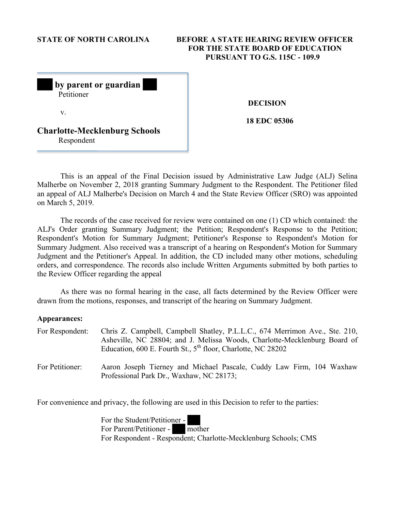# **STATE OF NORTH CAROLINA BEFORE A STATE HEARING REVIEW OFFICER FOR THE STATE BOARD OF EDUCATION PURSUANT TO G.S. 115C - 109.9**

| by parent or guardian<br>Petitioner                |  |
|----------------------------------------------------|--|
| V.                                                 |  |
| <b>Charlotte-Mecklenburg Schools</b><br>Respondent |  |

 **DECISION** 

**18 EDC 05306** 

This is an appeal of the Final Decision issued by Administrative Law Judge (ALJ) Selina Malherbe on November 2, 2018 granting Summary Judgment to the Respondent. The Petitioner filed an appeal of ALJ Malherbe's Decision on March 4 and the State Review Officer (SRO) was appointed on March 5, 2019.

The records of the case received for review were contained on one (1) CD which contained: the ALJ's Order granting Summary Judgment; the Petition; Respondent's Response to the Petition; Respondent's Motion for Summary Judgment; Petitioner's Response to Respondent's Motion for Summary Judgment. Also received was a transcript of a hearing on Respondent's Motion for Summary Judgment and the Petitioner's Appeal. In addition, the CD included many other motions, scheduling orders, and correspondence. The records also include Written Arguments submitted by both parties to the Review Officer regarding the appeal

As there was no formal hearing in the case, all facts determined by the Review Officer were drawn from the motions, responses, and transcript of the hearing on Summary Judgment.

#### **Appearances:**

| For Respondent: | Chris Z. Campbell, Campbell Shatley, P.L.L.C., 674 Merrimon Ave., Ste. 210,<br>Asheville, NC 28804; and J. Melissa Woods, Charlotte-Mecklenburg Board of<br>Education, 600 E. Fourth St., $5th$ floor, Charlotte, NC 28202 |
|-----------------|----------------------------------------------------------------------------------------------------------------------------------------------------------------------------------------------------------------------------|
| For Petitioner: | Aaron Joseph Tierney and Michael Pascale, Cuddy Law Firm, 104 Waxhaw<br>Professional Park Dr., Waxhaw, NC 28173;                                                                                                           |

For convenience and privacy, the following are used in this Decision to refer to the parties:

For the Student/Petitioner - For Parent/Petitioner - mother For Respondent - Respondent; Charlotte-Mecklenburg Schools; CMS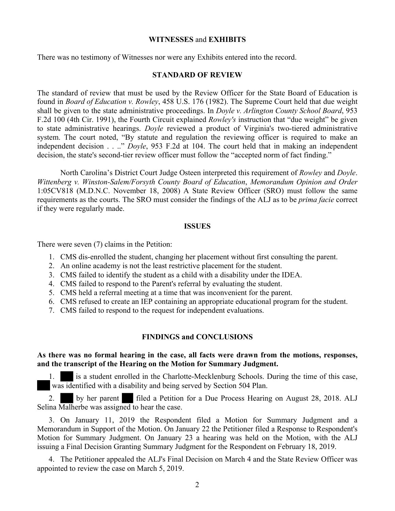## **WITNESSES** and **EXHIBITS**

There was no testimony of Witnesses nor were any Exhibits entered into the record.

## **STANDARD OF REVIEW**

The standard of review that must be used by the Review Officer for the State Board of Education is found in *Board of Education v. Rowley*, 458 U.S. 176 (1982). The Supreme Court held that due weight shall be given to the state administrative proceedings. In *Doyle v. Arlington County School Board*, 953 F.2d 100 (4th Cir. 1991), the Fourth Circuit explained *Rowley's* instruction that "due weight" be given to state administrative hearings. *Doyle* reviewed a product of Virginia's two-tiered administrative system. The court noted, "By statute and regulation the reviewing officer is required to make an independent decision . . .." *Doyle*, 953 F.2d at 104. The court held that in making an independent decision, the state's second-tier review officer must follow the "accepted norm of fact finding."

North Carolina's District Court Judge Osteen interpreted this requirement of *Rowley* and *Doyle*. *Wittenberg v. Winston-Salem/Forsyth County Board of Education*, *Memorandum Opinion and Order* 1:05CV818 (M.D.N.C. November 18, 2008) A State Review Officer (SRO) must follow the same requirements as the courts. The SRO must consider the findings of the ALJ as to be *prima facie* correct if they were regularly made.

### **ISSUES**

There were seven (7) claims in the Petition:

- 1. CMS dis-enrolled the student, changing her placement without first consulting the parent.
- 2. An online academy is not the least restrictive placement for the student.
- 3. CMS failed to identify the student as a child with a disability under the IDEA.
- 4. CMS failed to respond to the Parent's referral by evaluating the student.
- 5. CMS held a referral meeting at a time that was inconvenient for the parent.
- 6. CMS refused to create an IEP containing an appropriate educational program for the student.
- 7. CMS failed to respond to the request for independent evaluations.

## **FINDINGS and CONCLUSIONS**

## **As there was no formal hearing in the case, all facts were drawn from the motions, responses, and the transcript of the Hearing on the Motion for Summary Judgment.**

1. is a student enrolled in the Charlotte-Mecklenburg Schools. During the time of this case, was identified with a disability and being served by Section 504 Plan.

2. by her parent filed a Petition for a Due Process Hearing on August 28, 2018. ALJ Selina Malherbe was assigned to hear the case.

3. On January 11, 2019 the Respondent filed a Motion for Summary Judgment and a Memorandum in Support of the Motion. On January 22 the Petitioner filed a Response to Respondent's Motion for Summary Judgment. On January 23 a hearing was held on the Motion, with the ALJ issuing a Final Decision Granting Summary Judgment for the Respondent on February 18, 2019.

4. The Petitioner appealed the ALJ's Final Decision on March 4 and the State Review Officer was appointed to review the case on March 5, 2019.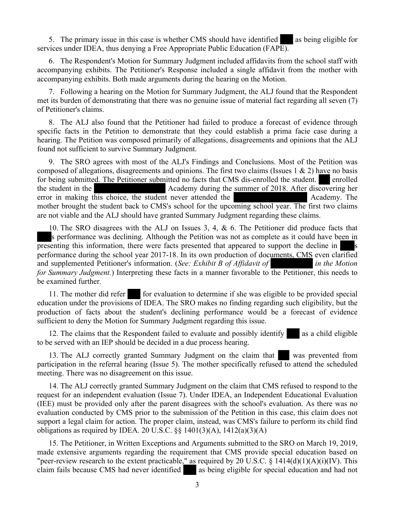5. The primary issue in this case is whether CMS should have identified as being eligible for services under IDEA, thus denying a Free Appropriate Public Education (FAPE).

6. The Respondent's Motion for Summary Judgment included affidavits from the school staff with accompanying exhibits. The Petitioner's Response included a single affidavit from the mother with accompanying exhibits. Both made arguments during the hearing on the Motion.

7. Following a hearing on the Motion for Summary Judgment, the ALJ found that the Respondent met its burden of demonstrating that there was no genuine issue of material fact regarding all seven (7) of Petitioner's claims.

8. The ALJ also found that the Petitioner had failed to produce a forecast of evidence through specific facts in the Petition to demonstrate that they could establish a prima facie case during a hearing. The Petition was composed primarily of allegations, disagreements and opinions that the ALJ found not sufficient to survive Summary Judgment.

9. The SRO agrees with most of the ALJ's Findings and Conclusions. Most of the Petition was composed of allegations, disagreements and opinions. The first two claims (Issues  $1 \& 2$ ) have no basis for being submitted. The Petitioner submitted no facts that CMS dis-enrolled the student. enrolled the student in the Academy during the summer of 2018. After discovering her error in making this choice, the student never attended the Academy. The mother brought the student back to CMS's school for the upcoming school year. The first two claims are not viable and the ALJ should have granted Summary Judgment regarding these claims.

10. The SRO disagrees with the ALJ on Issues 3, 4, & 6. The Petitioner did produce facts that s performance was declining. Although the Petition was not as complete as it could have been in presenting this information, there were facts presented that appeared to support the decline in performance during the school year 2017-18. In its own production of documents, CMS even clarified and supplemented Petitioner's information. (*See: Exhibit B of Affidavit of in the Motion for Summary Judgment.*) Interpreting these facts in a manner favorable to the Petitioner, this needs to be examined further.

11. The mother did refer for evaluation to determine if she was eligible to be provided special education under the provisions of IDEA. The SRO makes no finding regarding such eligibility, but the production of facts about the student's declining performance would be a forecast of evidence sufficient to deny the Motion for Summary Judgment regarding this issue.

12. The claims that the Respondent failed to evaluate and possibly identify as a child eligible to be served with an IEP should be decided in a due process hearing.

13. The ALJ correctly granted Summary Judgment on the claim that was prevented from participation in the referral hearing (Issue 5). The mother specifically refused to attend the scheduled meeting. There was no disagreement on this issue.

14. The ALJ correctly granted Summary Judgment on the claim that CMS refused to respond to the request for an independent evaluation (Issue 7). Under IDEA, an Independent Educational Evaluation (IEE) must be provided only after the parent disagrees with the school's evaluation. As there was no evaluation conducted by CMS prior to the submission of the Petition in this case, this claim does not support a legal claim for action. The proper claim, instead, was CMS's failure to perform its child find obligations as required by IDEA. 20 U.S.C.  $\S$ § 1401(3)(A), 1412(a)(3)(A)

15. The Petitioner, in Written Exceptions and Arguments submitted to the SRO on March 19, 2019, made extensive arguments regarding the requirement that CMS provide special education based on "peer-review research to the extent practicable," as required by 20 U.S.C. § 1414(d)(1)(A)(i)(IV). This claim fails because CMS had never identified as being eligible for special education and had not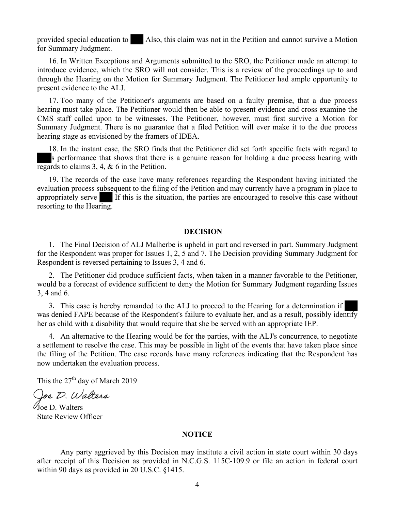provided special education to Also, this claim was not in the Petition and cannot survive a Motion for Summary Judgment.

16. In Written Exceptions and Arguments submitted to the SRO, the Petitioner made an attempt to introduce evidence, which the SRO will not consider. This is a review of the proceedings up to and through the Hearing on the Motion for Summary Judgment. The Petitioner had ample opportunity to present evidence to the ALJ.

17. Too many of the Petitioner's arguments are based on a faulty premise, that a due process hearing must take place. The Petitioner would then be able to present evidence and cross examine the CMS staff called upon to be witnesses. The Petitioner, however, must first survive a Motion for Summary Judgment. There is no guarantee that a filed Petition will ever make it to the due process hearing stage as envisioned by the framers of IDEA.

18. In the instant case, the SRO finds that the Petitioner did set forth specific facts with regard to s performance that shows that there is a genuine reason for holding a due process hearing with regards to claims 3, 4, & 6 in the Petition.

19. The records of the case have many references regarding the Respondent having initiated the evaluation process subsequent to the filing of the Petition and may currently have a program in place to appropriately serve If this is the situation, the parties are encouraged to resolve this case without resorting to the Hearing.

### **DECISION**

1. The Final Decision of ALJ Malherbe is upheld in part and reversed in part. Summary Judgment for the Respondent was proper for Issues 1, 2, 5 and 7. The Decision providing Summary Judgment for Respondent is reversed pertaining to Issues 3, 4 and 6.

2. The Petitioner did produce sufficient facts, when taken in a manner favorable to the Petitioner, would be a forecast of evidence sufficient to deny the Motion for Summary Judgment regarding Issues 3, 4 and 6.

3. This case is hereby remanded to the ALJ to proceed to the Hearing for a determination if was denied FAPE because of the Respondent's failure to evaluate her, and as a result, possibly identify her as child with a disability that would require that she be served with an appropriate IEP.

4. An alternative to the Hearing would be for the parties, with the ALJ's concurrence, to negotiate a settlement to resolve the case. This may be possible in light of the events that have taken place since the filing of the Petition. The case records have many references indicating that the Respondent has now undertaken the evaluation process.

This the  $27<sup>th</sup>$  day of March 2019

Joe D. Walters

 $\mathcal{U}_{\text{De}}$  D. Walters State Review Officer

#### **NOTICE**

Any party aggrieved by this Decision may institute a civil action in state court within 30 days after receipt of this Decision as provided in N.C.G.S. 115C-109.9 or file an action in federal court within 90 days as provided in 20 U.S.C. §1415.